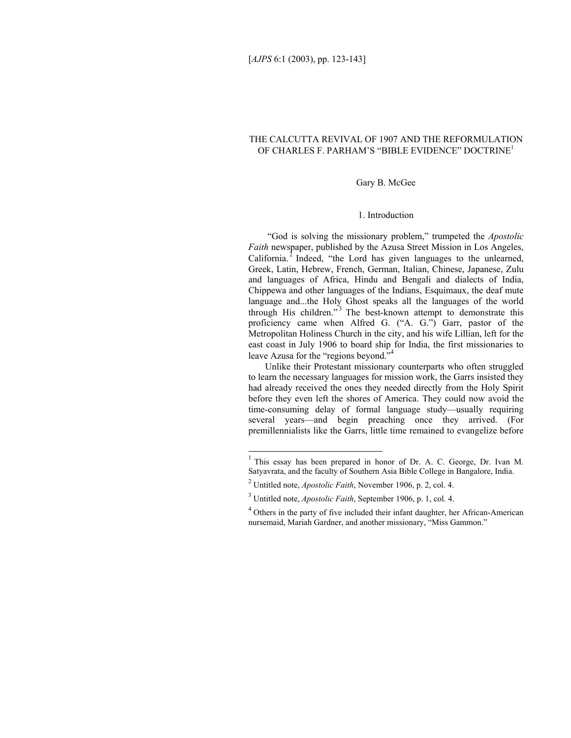# THE CALCUTTA REVIVAL OF 1907 AND THE REFORMULATION OF CHARLES F. PARHAM'S "BIBLE EVIDENCE" DOCTRINE1

#### Gary B. McGee

## 1. Introduction

 "God is solving the missionary problem," trumpeted the *Apostolic Faith* newspaper, published by the Azusa Street Mission in Los Angeles, California. $^2$  Indeed, "the Lord has given languages to the unlearned, Greek, Latin, Hebrew, French, German, Italian, Chinese, Japanese, Zulu and languages of Africa, Hindu and Bengali and dialects of India, Chippewa and other languages of the Indians, Esquimaux, the deaf mute language and...the Holy Ghost speaks all the languages of the world through His children." $3$  The best-known attempt to demonstrate this proficiency came when Alfred G. ("A. G.") Garr, pastor of the Metropolitan Holiness Church in the city, and his wife Lillian, left for the east coast in July 1906 to board ship for India, the first missionaries to leave Azusa for the "regions beyond."<sup>4</sup>

Unlike their Protestant missionary counterparts who often struggled to learn the necessary languages for mission work, the Garrs insisted they had already received the ones they needed directly from the Holy Spirit before they even left the shores of America. They could now avoid the time-consuming delay of formal language study—usually requiring several years—and begin preaching once they arrived. (For premillennialists like the Garrs, little time remained to evangelize before

<sup>&</sup>lt;sup>1</sup> This essay has been prepared in honor of Dr. A. C. George, Dr. Ivan M. Satyavrata, and the faculty of Southern Asia Bible College in Bangalore, India.

<sup>2</sup> Untitled note, *Apostolic Faith*, November 1906, p. 2, col. 4.

<sup>3</sup> Untitled note, *Apostolic Faith*, September 1906, p. 1, col. 4.

<sup>&</sup>lt;sup>4</sup> Others in the party of five included their infant daughter, her African-American nursemaid, Mariah Gardner, and another missionary, "Miss Gammon."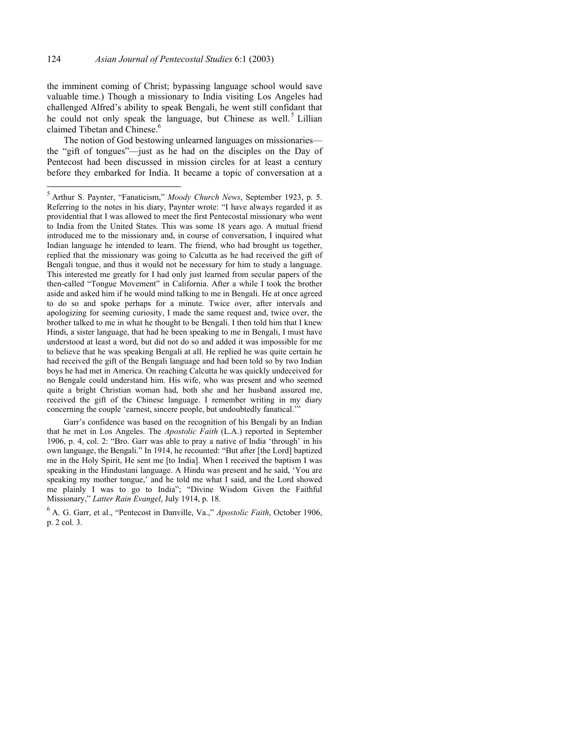the imminent coming of Christ; bypassing language school would save valuable time.) Though a missionary to India visiting Los Angeles had challenged Alfred's ability to speak Bengali, he went still confidant that he could not only speak the language, but Chinese as well.<sup>5</sup> Lillian claimed Tibetan and Chinese.<sup>6</sup>

The notion of God bestowing unlearned languages on missionaries the "gift of tongues"—just as he had on the disciples on the Day of Pentecost had been discussed in mission circles for at least a century before they embarked for India. It became a topic of conversation at a

 Garr's confidence was based on the recognition of his Bengali by an Indian that he met in Los Angeles. The *Apostolic Faith* (L.A.) reported in September 1906, p. 4, col. 2: "Bro. Garr was able to pray a native of India 'through' in his own language, the Bengali." In 1914, he recounted: "But after [the Lord] baptized me in the Holy Spirit, He sent me [to India]. When I received the baptism I was speaking in the Hindustani language. A Hindu was present and he said, 'You are speaking my mother tongue,' and he told me what I said, and the Lord showed me plainly I was to go to India"; "Divine Wisdom Given the Faithful Missionary," *Latter Rain Evangel*, July 1914, p. 18.

6 A. G. Garr, et al., "Pentecost in Danville, Va.," *Apostolic Faith*, October 1906, p. 2 col. 3.

 5 Arthur S. Paynter, "Fanaticism," *Moody Church News*, September 1923, p. 5. Referring to the notes in his diary, Paynter wrote: "I have always regarded it as providential that I was allowed to meet the first Pentecostal missionary who went to India from the United States. This was some 18 years ago. A mutual friend introduced me to the missionary and, in course of conversation, I inquired what Indian language he intended to learn. The friend, who had brought us together, replied that the missionary was going to Calcutta as he had received the gift of Bengali tongue, and thus it would not be necessary for him to study a language. This interested me greatly for I had only just learned from secular papers of the then-called "Tongue Movement" in California. After a while I took the brother aside and asked him if he would mind talking to me in Bengali. He at once agreed to do so and spoke perhaps for a minute. Twice over, after intervals and apologizing for seeming curiosity, I made the same request and, twice over, the brother talked to me in what he thought to be Bengali. I then told him that I knew Hindi, a sister language, that had he been speaking to me in Bengali, I must have understood at least a word, but did not do so and added it was impossible for me to believe that he was speaking Bengali at all. He replied he was quite certain he had received the gift of the Bengali language and had been told so by two Indian boys he had met in America. On reaching Calcutta he was quickly undeceived for no Bengale could understand him. His wife, who was present and who seemed quite a bright Christian woman had, both she and her husband assured me, received the gift of the Chinese language. I remember writing in my diary concerning the couple 'earnest, sincere people, but undoubtedly fanatical.'"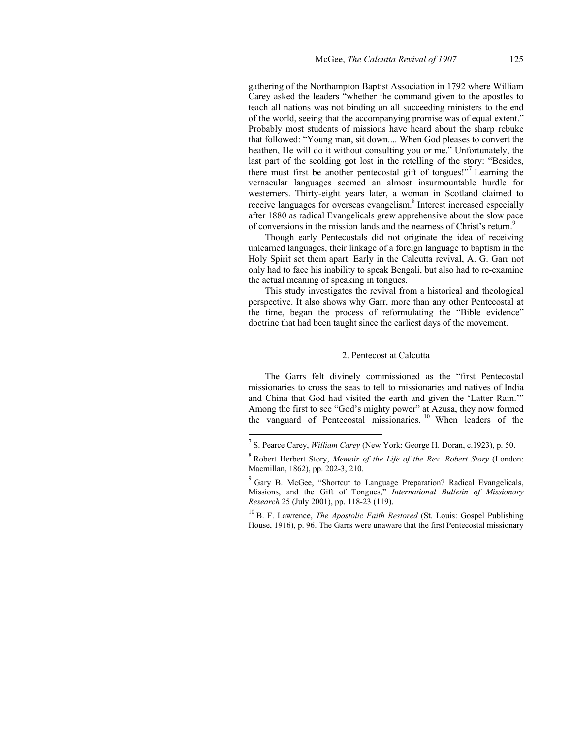gathering of the Northampton Baptist Association in 1792 where William Carey asked the leaders "whether the command given to the apostles to teach all nations was not binding on all succeeding ministers to the end of the world, seeing that the accompanying promise was of equal extent." Probably most students of missions have heard about the sharp rebuke that followed: "Young man, sit down.... When God pleases to convert the heathen, He will do it without consulting you or me." Unfortunately, the last part of the scolding got lost in the retelling of the story: "Besides, there must first be another pentecostal gift of tongues!"<sup>7</sup> Learning the vernacular languages seemed an almost insurmountable hurdle for westerners. Thirty-eight years later, a woman in Scotland claimed to receive languages for overseas evangelism.<sup>8</sup> Interest increased especially after 1880 as radical Evangelicals grew apprehensive about the slow pace of conversions in the mission lands and the nearness of Christ's return.<sup>9</sup>

Though early Pentecostals did not originate the idea of receiving unlearned languages, their linkage of a foreign language to baptism in the Holy Spirit set them apart. Early in the Calcutta revival, A. G. Garr not only had to face his inability to speak Bengali, but also had to re-examine the actual meaning of speaking in tongues.

This study investigates the revival from a historical and theological perspective. It also shows why Garr, more than any other Pentecostal at the time, began the process of reformulating the "Bible evidence" doctrine that had been taught since the earliest days of the movement.

#### 2. Pentecost at Calcutta

The Garrs felt divinely commissioned as the "first Pentecostal missionaries to cross the seas to tell to missionaries and natives of India and China that God had visited the earth and given the 'Latter Rain.'" Among the first to see "God's mighty power" at Azusa, they now formed the vanguard of Pentecostal missionaries.<sup>10</sup> When leaders of the

<sup>7</sup> S. Pearce Carey, *William Carey* (New York: George H. Doran, c.1923), p. 50.

<sup>8</sup> Robert Herbert Story, *Memoir of the Life of the Rev. Robert Story* (London: Macmillan, 1862), pp. 202-3, 210.

<sup>&</sup>lt;sup>9</sup> Gary B. McGee, "Shortcut to Language Preparation? Radical Evangelicals, Missions, and the Gift of Tongues," *International Bulletin of Missionary Research* 25 (July 2001), pp. 118-23 (119).

<sup>&</sup>lt;sup>10</sup> B. F. Lawrence, *The Apostolic Faith Restored* (St. Louis: Gospel Publishing House, 1916), p. 96. The Garrs were unaware that the first Pentecostal missionary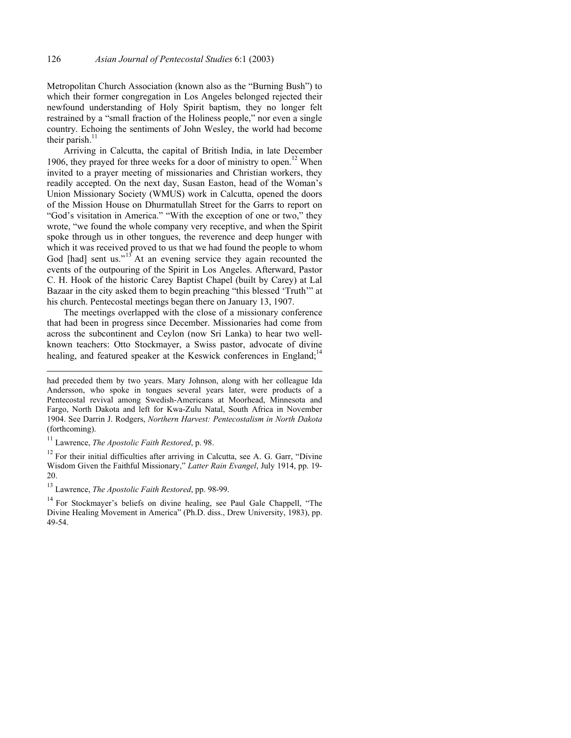Metropolitan Church Association (known also as the "Burning Bush") to which their former congregation in Los Angeles belonged rejected their newfound understanding of Holy Spirit baptism, they no longer felt restrained by a "small fraction of the Holiness people," nor even a single country. Echoing the sentiments of John Wesley, the world had become their parish. $11$ 

Arriving in Calcutta, the capital of British India, in late December 1906, they prayed for three weeks for a door of ministry to open.<sup>12</sup> When invited to a prayer meeting of missionaries and Christian workers, they readily accepted. On the next day, Susan Easton, head of the Woman's Union Missionary Society (WMUS) work in Calcutta, opened the doors of the Mission House on Dhurmatullah Street for the Garrs to report on "God's visitation in America." "With the exception of one or two," they wrote, "we found the whole company very receptive, and when the Spirit spoke through us in other tongues, the reverence and deep hunger with which it was received proved to us that we had found the people to whom God [had] sent us."<sup>13</sup> At an evening service they again recounted the events of the outpouring of the Spirit in Los Angeles. Afterward, Pastor C. H. Hook of the historic Carey Baptist Chapel (built by Carey) at Lal Bazaar in the city asked them to begin preaching "this blessed 'Truth'" at his church. Pentecostal meetings began there on January 13, 1907.

The meetings overlapped with the close of a missionary conference that had been in progress since December. Missionaries had come from across the subcontinent and Ceylon (now Sri Lanka) to hear two wellknown teachers: Otto Stockmayer, a Swiss pastor, advocate of divine healing, and featured speaker at the Keswick conferences in England;<sup>14</sup>

l

 $12$  For their initial difficulties after arriving in Calcutta, see A. G. Garr, "Divine" Wisdom Given the Faithful Missionary," *Latter Rain Evangel*, July 1914, pp. 19- 20.

had preceded them by two years. Mary Johnson, along with her colleague Ida Andersson, who spoke in tongues several years later, were products of a Pentecostal revival among Swedish-Americans at Moorhead, Minnesota and Fargo, North Dakota and left for Kwa-Zulu Natal, South Africa in November 1904. See Darrin J. Rodgers, *Northern Harvest: Pentecostalism in North Dakota* (forthcoming).

<sup>11</sup> Lawrence, *The Apostolic Faith Restored*, p. 98.

<sup>13</sup> Lawrence, *The Apostolic Faith Restored*, pp. 98-99.

<sup>&</sup>lt;sup>14</sup> For Stockmayer's beliefs on divine healing, see Paul Gale Chappell, "The Divine Healing Movement in America" (Ph.D. diss., Drew University, 1983), pp. 49-54.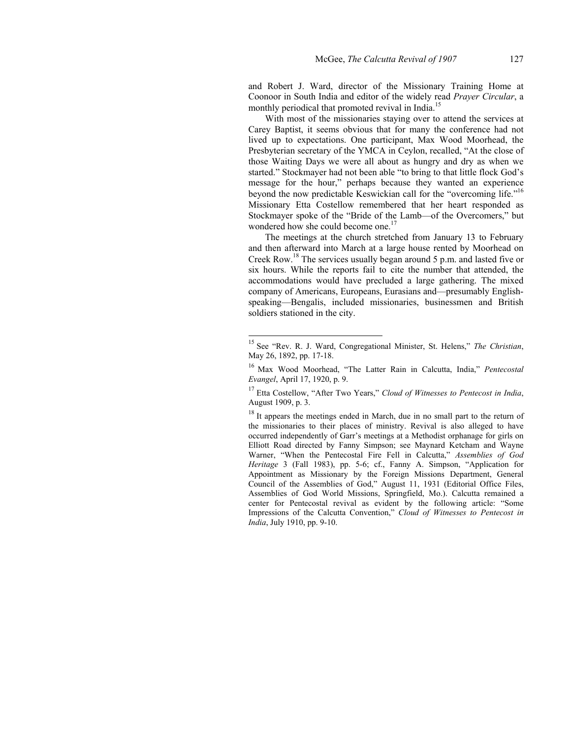and Robert J. Ward, director of the Missionary Training Home at Coonoor in South India and editor of the widely read *Prayer Circular*, a monthly periodical that promoted revival in India.<sup>15</sup>

With most of the missionaries staying over to attend the services at Carey Baptist, it seems obvious that for many the conference had not lived up to expectations. One participant, Max Wood Moorhead, the Presbyterian secretary of the YMCA in Ceylon, recalled, "At the close of those Waiting Days we were all about as hungry and dry as when we started." Stockmayer had not been able "to bring to that little flock God's message for the hour," perhaps because they wanted an experience beyond the now predictable Keswickian call for the "overcoming life."16 Missionary Etta Costellow remembered that her heart responded as Stockmayer spoke of the "Bride of the Lamb—of the Overcomers," but wondered how she could become one.<sup>17</sup>

The meetings at the church stretched from January 13 to February and then afterward into March at a large house rented by Moorhead on Creek Row.18 The services usually began around 5 p.m. and lasted five or six hours. While the reports fail to cite the number that attended, the accommodations would have precluded a large gathering. The mixed company of Americans, Europeans, Eurasians and—presumably Englishspeaking—Bengalis, included missionaries, businessmen and British soldiers stationed in the city.

<sup>15</sup> See "Rev. R. J. Ward, Congregational Minister, St. Helens," *The Christian*, May 26, 1892, pp. 17-18.

<sup>16</sup> Max Wood Moorhead, "The Latter Rain in Calcutta, India," *Pentecostal Evangel*, April 17, 1920, p. 9.

<sup>17</sup> Etta Costellow, "After Two Years," *Cloud of Witnesses to Pentecost in India*, August 1909, p. 3.

<sup>&</sup>lt;sup>18</sup> It appears the meetings ended in March, due in no small part to the return of the missionaries to their places of ministry. Revival is also alleged to have occurred independently of Garr's meetings at a Methodist orphanage for girls on Elliott Road directed by Fanny Simpson; see Maynard Ketcham and Wayne Warner, "When the Pentecostal Fire Fell in Calcutta," *Assemblies of God Heritage* 3 (Fall 1983), pp. 5-6; cf., Fanny A. Simpson, "Application for Appointment as Missionary by the Foreign Missions Department, General Council of the Assemblies of God," August 11, 1931 (Editorial Office Files, Assemblies of God World Missions, Springfield, Mo.). Calcutta remained a center for Pentecostal revival as evident by the following article: "Some Impressions of the Calcutta Convention," *Cloud of Witnesses to Pentecost in India*, July 1910, pp. 9-10.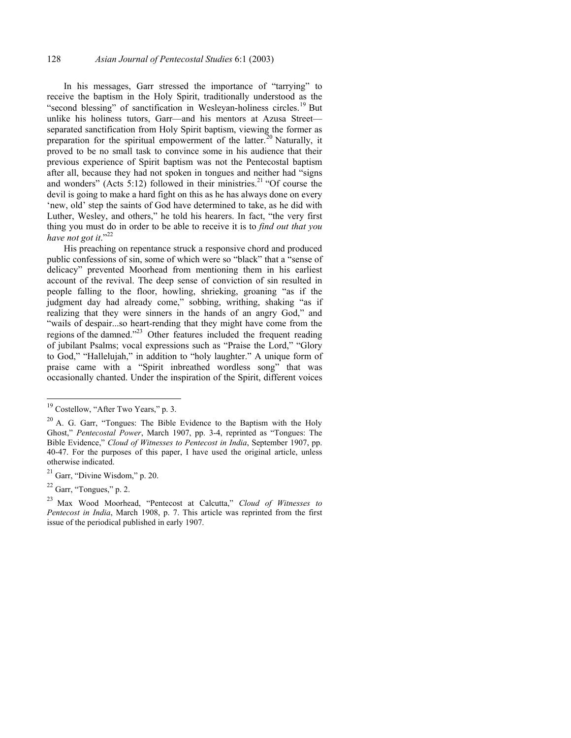In his messages, Garr stressed the importance of "tarrying" to receive the baptism in the Holy Spirit, traditionally understood as the "second blessing" of sanctification in Wesleyan-holiness circles.<sup>19</sup> But unlike his holiness tutors, Garr—and his mentors at Azusa Street separated sanctification from Holy Spirit baptism, viewing the former as preparation for the spiritual empowerment of the latter.<sup>20</sup> Naturally, it proved to be no small task to convince some in his audience that their previous experience of Spirit baptism was not the Pentecostal baptism after all, because they had not spoken in tongues and neither had "signs and wonders" (Acts 5:12) followed in their ministries.<sup>21</sup> "Of course the devil is going to make a hard fight on this as he has always done on every 'new, old' step the saints of God have determined to take, as he did with Luther, Wesley, and others," he told his hearers. In fact, "the very first thing you must do in order to be able to receive it is to *find out that you*  have not got it."<sup>22</sup>

His preaching on repentance struck a responsive chord and produced public confessions of sin, some of which were so "black" that a "sense of delicacy" prevented Moorhead from mentioning them in his earliest account of the revival. The deep sense of conviction of sin resulted in people falling to the floor, howling, shrieking, groaning "as if the judgment day had already come," sobbing, writhing, shaking "as if realizing that they were sinners in the hands of an angry God," and "wails of despair...so heart-rending that they might have come from the regions of the damned."23 Other features included the frequent reading of jubilant Psalms; vocal expressions such as "Praise the Lord," "Glory to God," "Hallelujah," in addition to "holy laughter." A unique form of praise came with a "Spirit inbreathed wordless song" that was occasionally chanted. Under the inspiration of the Spirit, different voices

 $19$  Costellow, "After Two Years," p. 3.

 $20$  A. G. Garr, "Tongues: The Bible Evidence to the Baptism with the Holy Ghost," *Pentecostal Power*, March 1907, pp. 3-4, reprinted as "Tongues: The Bible Evidence," *Cloud of Witnesses to Pentecost in India*, September 1907, pp. 40-47. For the purposes of this paper, I have used the original article, unless otherwise indicated.

 $21$  Garr, "Divine Wisdom," p. 20.

 $22$  Garr, "Tongues," p. 2.

<sup>23</sup> Max Wood Moorhead, "Pentecost at Calcutta," *Cloud of Witnesses to Pentecost in India*, March 1908, p. 7. This article was reprinted from the first issue of the periodical published in early 1907.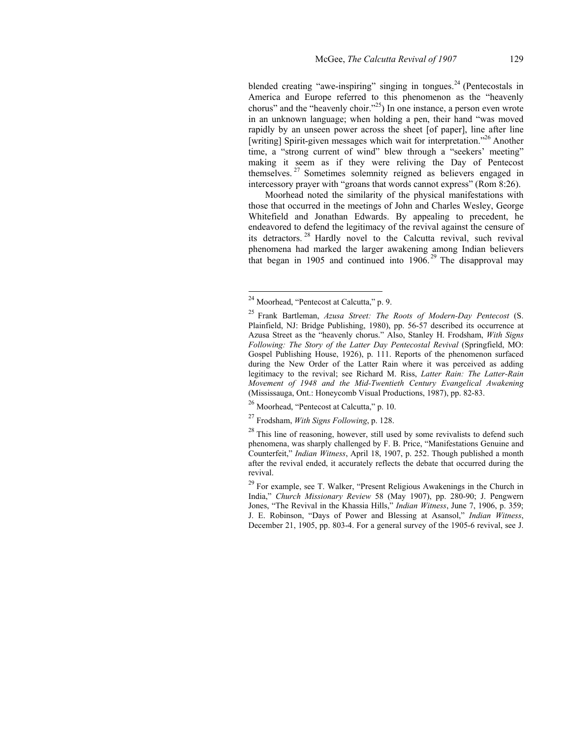blended creating "awe-inspiring" singing in tongues. $^{24}$  (Pentecostals in America and Europe referred to this phenomenon as the "heavenly chorus" and the "heavenly choir."<sup>25</sup>) In one instance, a person even wrote in an unknown language; when holding a pen, their hand "was moved rapidly by an unseen power across the sheet [of paper], line after line [writing] Spirit-given messages which wait for interpretation."<sup>26</sup> Another time, a "strong current of wind" blew through a "seekers' meeting" making it seem as if they were reliving the Day of Pentecost themselves.<sup>27</sup> Sometimes solemnity reigned as believers engaged in intercessory prayer with "groans that words cannot express" (Rom 8:26).

Moorhead noted the similarity of the physical manifestations with those that occurred in the meetings of John and Charles Wesley, George Whitefield and Jonathan Edwards. By appealing to precedent, he endeavored to defend the legitimacy of the revival against the censure of its detractors. 28 Hardly novel to the Calcutta revival, such revival phenomena had marked the larger awakening among Indian believers that began in 1905 and continued into  $1906$ <sup>29</sup> The disapproval may

 $2<sup>24</sup>$  Moorhead, "Pentecost at Calcutta," p. 9.

<sup>25</sup> Frank Bartleman, *Azusa Street: The Roots of Modern-Day Pentecost* (S. Plainfield, NJ: Bridge Publishing, 1980), pp. 56-57 described its occurrence at Azusa Street as the "heavenly chorus." Also, Stanley H. Frodsham, *With Signs Following: The Story of the Latter Day Pentecostal Revival* (Springfield, MO: Gospel Publishing House, 1926), p. 111. Reports of the phenomenon surfaced during the New Order of the Latter Rain where it was perceived as adding legitimacy to the revival; see Richard M. Riss, *Latter Rain: The Latter-Rain Movement of 1948 and the Mid-Twentieth Century Evangelical Awakening* (Mississauga, Ont.: Honeycomb Visual Productions, 1987), pp. 82-83.

 $26$  Moorhead, "Pentecost at Calcutta," p. 10.

<sup>27</sup> Frodsham, *With Signs Following*, p. 128.

 $28$  This line of reasoning, however, still used by some revivalists to defend such phenomena, was sharply challenged by F. B. Price, "Manifestations Genuine and Counterfeit," *Indian Witness*, April 18, 1907, p. 252. Though published a month after the revival ended, it accurately reflects the debate that occurred during the revival.

 $29$  For example, see T. Walker, "Present Religious Awakenings in the Church in India," *Church Missionary Review* 58 (May 1907), pp. 280-90; J. Pengwern Jones, "The Revival in the Khassia Hills," *Indian Witness*, June 7, 1906, p. 359; J. E. Robinson, "Days of Power and Blessing at Asansol," *Indian Witness*, December 21, 1905, pp. 803-4. For a general survey of the 1905-6 revival, see J.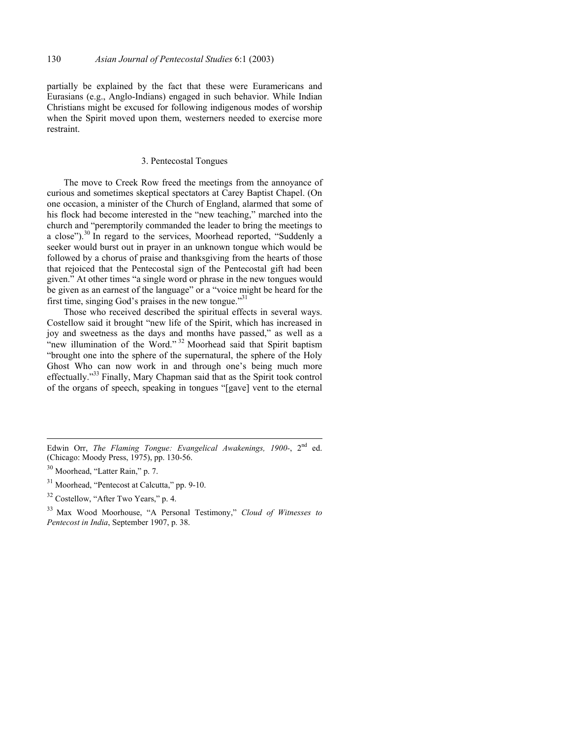partially be explained by the fact that these were Euramericans and Eurasians (e.g., Anglo-Indians) engaged in such behavior. While Indian Christians might be excused for following indigenous modes of worship when the Spirit moved upon them, westerners needed to exercise more restraint.

## 3. Pentecostal Tongues

The move to Creek Row freed the meetings from the annoyance of curious and sometimes skeptical spectators at Carey Baptist Chapel. (On one occasion, a minister of the Church of England, alarmed that some of his flock had become interested in the "new teaching," marched into the church and "peremptorily commanded the leader to bring the meetings to a close"). $30$  In regard to the services, Moorhead reported, "Suddenly a seeker would burst out in prayer in an unknown tongue which would be followed by a chorus of praise and thanksgiving from the hearts of those that rejoiced that the Pentecostal sign of the Pentecostal gift had been given." At other times "a single word or phrase in the new tongues would be given as an earnest of the language" or a "voice might be heard for the first time, singing God's praises in the new tongue." $31$ 

Those who received described the spiritual effects in several ways. Costellow said it brought "new life of the Spirit, which has increased in joy and sweetness as the days and months have passed," as well as a "new illumination of the Word."<sup>32</sup> Moorhead said that Spirit baptism "brought one into the sphere of the supernatural, the sphere of the Holy Ghost Who can now work in and through one's being much more effectually."33 Finally, Mary Chapman said that as the Spirit took control of the organs of speech, speaking in tongues "[gave] vent to the eternal

- 31 Moorhead, "Pentecost at Calcutta," pp. 9-10.
- <sup>32</sup> Costellow, "After Two Years," p. 4.

Edwin Orr, *The Flaming Tongue: Evangelical Awakenings, 1900-*, 2nd ed. (Chicago: Moody Press, 1975), pp. 130-56.

Moorhead, "Latter Rain," p. 7.

<sup>33</sup> Max Wood Moorhouse, "A Personal Testimony," *Cloud of Witnesses to Pentecost in India*, September 1907, p. 38.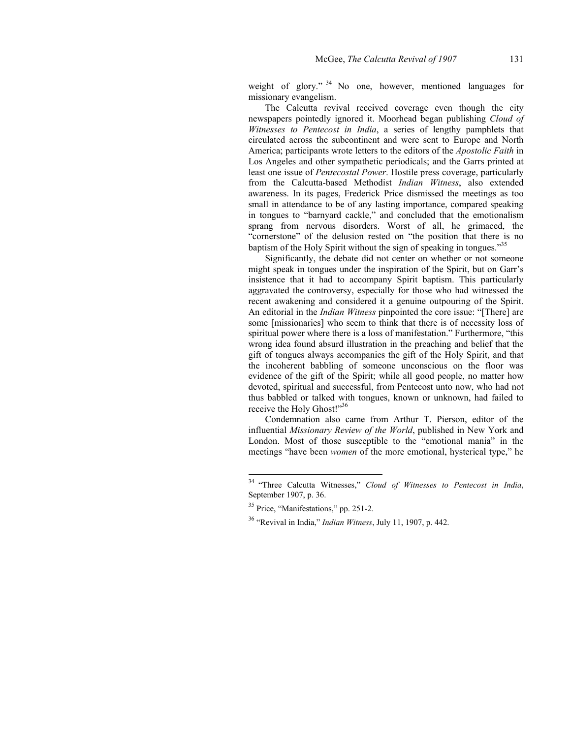weight of glory." <sup>34</sup> No one, however, mentioned languages for missionary evangelism.

The Calcutta revival received coverage even though the city newspapers pointedly ignored it. Moorhead began publishing *Cloud of Witnesses to Pentecost in India*, a series of lengthy pamphlets that circulated across the subcontinent and were sent to Europe and North America; participants wrote letters to the editors of the *Apostolic Faith* in Los Angeles and other sympathetic periodicals; and the Garrs printed at least one issue of *Pentecostal Power*. Hostile press coverage, particularly from the Calcutta-based Methodist *Indian Witness*, also extended awareness. In its pages, Frederick Price dismissed the meetings as too small in attendance to be of any lasting importance, compared speaking in tongues to "barnyard cackle," and concluded that the emotionalism sprang from nervous disorders. Worst of all, he grimaced, the "cornerstone" of the delusion rested on "the position that there is no baptism of the Holy Spirit without the sign of speaking in tongues."<sup>35</sup>

Significantly, the debate did not center on whether or not someone might speak in tongues under the inspiration of the Spirit, but on Garr's insistence that it had to accompany Spirit baptism. This particularly aggravated the controversy, especially for those who had witnessed the recent awakening and considered it a genuine outpouring of the Spirit. An editorial in the *Indian Witness* pinpointed the core issue: "[There] are some [missionaries] who seem to think that there is of necessity loss of spiritual power where there is a loss of manifestation." Furthermore, "this wrong idea found absurd illustration in the preaching and belief that the gift of tongues always accompanies the gift of the Holy Spirit, and that the incoherent babbling of someone unconscious on the floor was evidence of the gift of the Spirit; while all good people, no matter how devoted, spiritual and successful, from Pentecost unto now, who had not thus babbled or talked with tongues, known or unknown, had failed to receive the Holy Ghost!"<sup>36</sup>

Condemnation also came from Arthur T. Pierson, editor of the influential *Missionary Review of the World*, published in New York and London. Most of those susceptible to the "emotional mania" in the meetings "have been *women* of the more emotional, hysterical type," he

<sup>34 &</sup>quot;Three Calcutta Witnesses," *Cloud of Witnesses to Pentecost in India*, September 1907, p. 36.

<sup>35</sup> Price, "Manifestations," pp. 251-2.

<sup>36 &</sup>quot;Revival in India," *Indian Witness*, July 11, 1907, p. 442.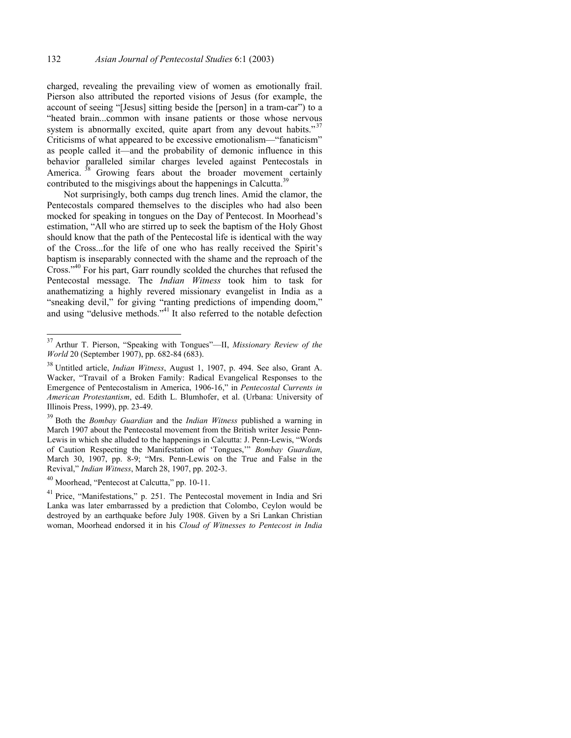charged, revealing the prevailing view of women as emotionally frail. Pierson also attributed the reported visions of Jesus (for example, the account of seeing "[Jesus] sitting beside the [person] in a tram-car") to a "heated brain...common with insane patients or those whose nervous system is abnormally excited, quite apart from any devout habits." $37$ Criticisms of what appeared to be excessive emotionalism—"fanaticism" as people called it—and the probability of demonic influence in this behavior paralleled similar charges leveled against Pentecostals in America.<sup>38</sup> Growing fears about the broader movement certainly contributed to the misgivings about the happenings in Calcutta.<sup>39</sup>

Not surprisingly, both camps dug trench lines. Amid the clamor, the Pentecostals compared themselves to the disciples who had also been mocked for speaking in tongues on the Day of Pentecost. In Moorhead's estimation, "All who are stirred up to seek the baptism of the Holy Ghost should know that the path of the Pentecostal life is identical with the way of the Cross...for the life of one who has really received the Spirit's baptism is inseparably connected with the shame and the reproach of the Cross."40 For his part, Garr roundly scolded the churches that refused the Pentecostal message. The *Indian Witness* took him to task for anathematizing a highly revered missionary evangelist in India as a "sneaking devil," for giving "ranting predictions of impending doom," and using "delusive methods."<sup>41</sup> It also referred to the notable defection

<sup>37</sup> Arthur T. Pierson, "Speaking with Tongues"—II, *Missionary Review of the World* 20 (September 1907), pp. 682-84 (683).

<sup>38</sup> Untitled article, *Indian Witness*, August 1, 1907, p. 494. See also, Grant A. Wacker, "Travail of a Broken Family: Radical Evangelical Responses to the Emergence of Pentecostalism in America, 1906-16," in *Pentecostal Currents in American Protestantism*, ed. Edith L. Blumhofer, et al. (Urbana: University of Illinois Press, 1999), pp. 23-49.

<sup>39</sup> Both the *Bombay Guardian* and the *Indian Witness* published a warning in March 1907 about the Pentecostal movement from the British writer Jessie Penn-Lewis in which she alluded to the happenings in Calcutta: J. Penn-Lewis, "Words of Caution Respecting the Manifestation of 'Tongues,'" *Bombay Guardian*, March 30, 1907, pp. 8-9; "Mrs. Penn-Lewis on the True and False in the Revival," *Indian Witness*, March 28, 1907, pp. 202-3.

<sup>40</sup> Moorhead, "Pentecost at Calcutta," pp. 10-11.

<sup>&</sup>lt;sup>41</sup> Price, "Manifestations," p. 251. The Pentecostal movement in India and Sri Lanka was later embarrassed by a prediction that Colombo, Ceylon would be destroyed by an earthquake before July 1908. Given by a Sri Lankan Christian woman, Moorhead endorsed it in his *Cloud of Witnesses to Pentecost in India*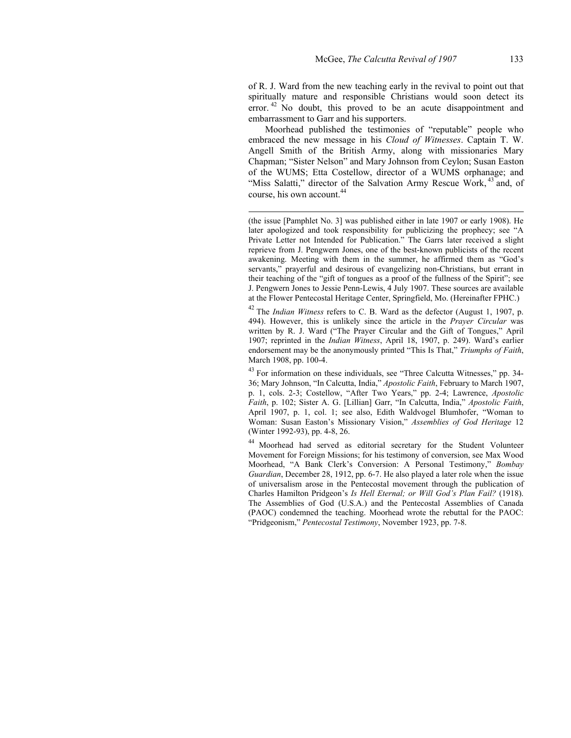of R. J. Ward from the new teaching early in the revival to point out that spiritually mature and responsible Christians would soon detect its error.<sup>42</sup> No doubt, this proved to be an acute disappointment and embarrassment to Garr and his supporters.

Moorhead published the testimonies of "reputable" people who embraced the new message in his *Cloud of Witnesses*. Captain T. W. Angell Smith of the British Army, along with missionaries Mary Chapman; "Sister Nelson" and Mary Johnson from Ceylon; Susan Easton of the WUMS; Etta Costellow, director of a WUMS orphanage; and "Miss Salatti," director of the Salvation Army Rescue Work, <sup>43</sup> and, of course, his own account.<sup>44</sup>

l

(the issue [Pamphlet No. 3] was published either in late 1907 or early 1908). He later apologized and took responsibility for publicizing the prophecy; see "A Private Letter not Intended for Publication." The Garrs later received a slight reprieve from J. Pengwern Jones, one of the best-known publicists of the recent awakening. Meeting with them in the summer, he affirmed them as "God's servants," prayerful and desirous of evangelizing non-Christians, but errant in their teaching of the "gift of tongues as a proof of the fullness of the Spirit"; see J. Pengwern Jones to Jessie Penn-Lewis, 4 July 1907. These sources are available at the Flower Pentecostal Heritage Center, Springfield, Mo. (Hereinafter FPHC.)

42 The *Indian Witness* refers to C. B. Ward as the defector (August 1, 1907, p. 494). However, this is unlikely since the article in the *Prayer Circular* was written by R. J. Ward ("The Prayer Circular and the Gift of Tongues," April 1907; reprinted in the *Indian Witness*, April 18, 1907, p. 249). Ward's earlier endorsement may be the anonymously printed "This Is That," *Triumphs of Faith*, March 1908, pp. 100-4.

<sup>43</sup> For information on these individuals, see "Three Calcutta Witnesses," pp. 34-36; Mary Johnson, "In Calcutta, India," *Apostolic Faith*, February to March 1907, p. 1, cols. 2-3; Costellow, "After Two Years," pp. 2-4; Lawrence, *Apostolic Faith*, p. 102; Sister A. G. [Lillian] Garr, "In Calcutta, India," *Apostolic Faith*, April 1907, p. 1, col. 1; see also, Edith Waldvogel Blumhofer, "Woman to Woman: Susan Easton's Missionary Vision," *Assemblies of God Heritage* 12 (Winter 1992-93), pp. 4-8, 26.

44 Moorhead had served as editorial secretary for the Student Volunteer Movement for Foreign Missions; for his testimony of conversion, see Max Wood Moorhead, "A Bank Clerk's Conversion: A Personal Testimony," *Bombay Guardian*, December 28, 1912, pp. 6-7. He also played a later role when the issue of universalism arose in the Pentecostal movement through the publication of Charles Hamilton Pridgeon's *Is Hell Eternal; or Will God's Plan Fail?* (1918). The Assemblies of God (U.S.A.) and the Pentecostal Assemblies of Canada (PAOC) condemned the teaching. Moorhead wrote the rebuttal for the PAOC: "Pridgeonism," *Pentecostal Testimony*, November 1923, pp. 7-8.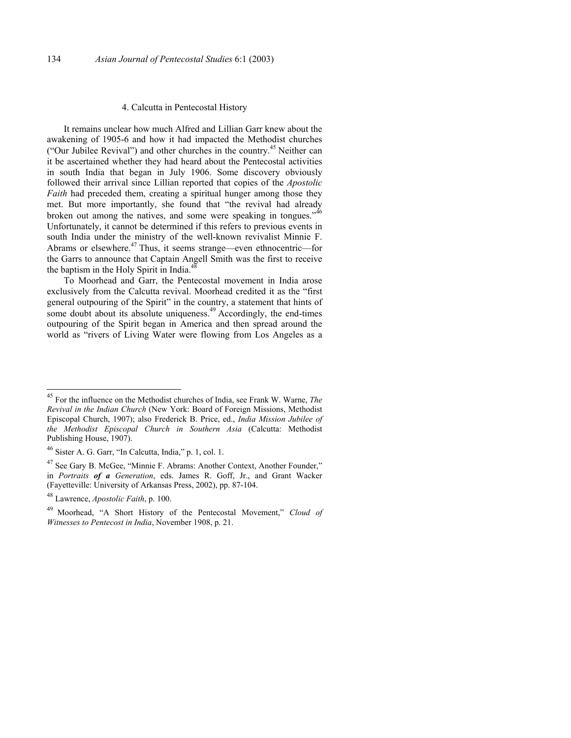## 4. Calcutta in Pentecostal History

It remains unclear how much Alfred and Lillian Garr knew about the awakening of 1905-6 and how it had impacted the Methodist churches ("Our Jubilee Revival") and other churches in the country.45 Neither can it be ascertained whether they had heard about the Pentecostal activities in south India that began in July 1906. Some discovery obviously followed their arrival since Lillian reported that copies of the *Apostolic Faith* had preceded them, creating a spiritual hunger among those they met. But more importantly, she found that "the revival had already broken out among the natives, and some were speaking in tongues."<sup>46</sup> Unfortunately, it cannot be determined if this refers to previous events in south India under the ministry of the well-known revivalist Minnie F. Abrams or elsewhere. $47$  Thus, it seems strange—even ethnocentric—for the Garrs to announce that Captain Angell Smith was the first to receive the baptism in the Holy Spirit in India.<sup>4</sup>

To Moorhead and Garr, the Pentecostal movement in India arose exclusively from the Calcutta revival. Moorhead credited it as the "first general outpouring of the Spirit" in the country, a statement that hints of some doubt about its absolute uniqueness.<sup>49</sup> Accordingly, the end-times outpouring of the Spirit began in America and then spread around the world as "rivers of Living Water were flowing from Los Angeles as a

<sup>45</sup> For the influence on the Methodist churches of India, see Frank W. Warne, *The Revival in the Indian Church* (New York: Board of Foreign Missions, Methodist Episcopal Church, 1907); also Frederick B. Price, ed., *India Mission Jubilee of the Methodist Episcopal Church in Southern Asia* (Calcutta: Methodist Publishing House, 1907).

<sup>46</sup> Sister A. G. Garr, "In Calcutta, India," p. 1, col. 1.

<sup>47</sup> See Gary B. McGee, "Minnie F. Abrams: Another Context, Another Founder," in *Portraits of a Generation*, eds. James R. Goff, Jr., and Grant Wacker (Fayetteville: University of Arkansas Press, 2002), pp. 87-104.

<sup>48</sup> Lawrence, *Apostolic Faith*, p. 100.

<sup>49</sup> Moorhead, "A Short History of the Pentecostal Movement," *Cloud of Witnesses to Pentecost in India*, November 1908, p. 21.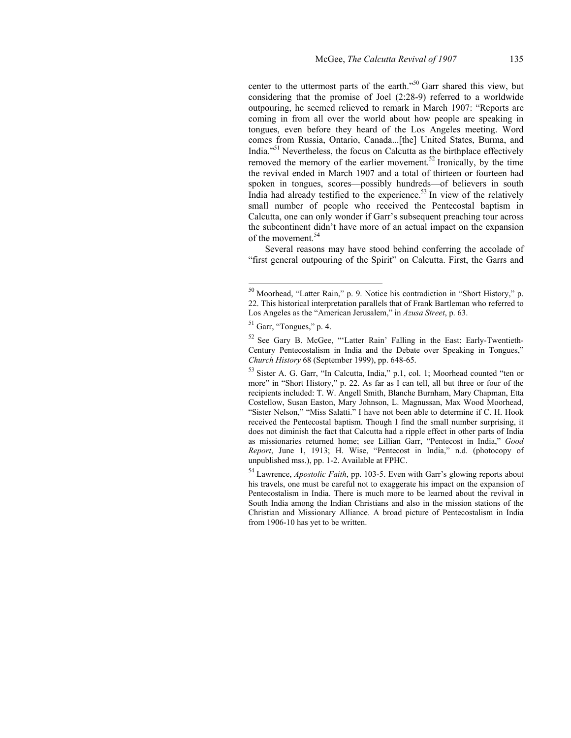center to the uttermost parts of the earth."50 Garr shared this view, but considering that the promise of Joel (2:28-9) referred to a worldwide outpouring, he seemed relieved to remark in March 1907: "Reports are coming in from all over the world about how people are speaking in tongues, even before they heard of the Los Angeles meeting. Word comes from Russia, Ontario, Canada...[the] United States, Burma, and India."<sup>51</sup> Nevertheless, the focus on Calcutta as the birthplace effectively removed the memory of the earlier movement.<sup>52</sup> Ironically, by the time the revival ended in March 1907 and a total of thirteen or fourteen had spoken in tongues, scores—possibly hundreds—of believers in south India had already testified to the experience.<sup>53</sup> In view of the relatively small number of people who received the Pentecostal baptism in Calcutta, one can only wonder if Garr's subsequent preaching tour across the subcontinent didn't have more of an actual impact on the expansion of the movement.<sup>54</sup>

Several reasons may have stood behind conferring the accolade of "first general outpouring of the Spirit" on Calcutta. First, the Garrs and

 $50$  Moorhead, "Latter Rain," p. 9. Notice his contradiction in "Short History," p. 22. This historical interpretation parallels that of Frank Bartleman who referred to Los Angeles as the "American Jerusalem," in *Azusa Street*, p. 63.

 $51$  Garr, "Tongues," p. 4.

<sup>52</sup> See Gary B. McGee, "'Latter Rain' Falling in the East: Early-Twentieth-Century Pentecostalism in India and the Debate over Speaking in Tongues," *Church History* 68 (September 1999), pp. 648-65.

<sup>&</sup>lt;sup>53</sup> Sister A. G. Garr, "In Calcutta, India," p.1, col. 1; Moorhead counted "ten or more" in "Short History," p. 22. As far as I can tell, all but three or four of the recipients included: T. W. Angell Smith, Blanche Burnham, Mary Chapman, Etta Costellow, Susan Easton, Mary Johnson, L. Magnussan, Max Wood Moorhead, "Sister Nelson," "Miss Salatti." I have not been able to determine if C. H. Hook received the Pentecostal baptism. Though I find the small number surprising, it does not diminish the fact that Calcutta had a ripple effect in other parts of India as missionaries returned home; see Lillian Garr, "Pentecost in India," *Good Report*, June 1, 1913; H. Wise, "Pentecost in India," n.d. (photocopy of unpublished mss.), pp. 1-2. Available at FPHC.

<sup>54</sup> Lawrence, *Apostolic Faith*, pp. 103-5. Even with Garr's glowing reports about his travels, one must be careful not to exaggerate his impact on the expansion of Pentecostalism in India. There is much more to be learned about the revival in South India among the Indian Christians and also in the mission stations of the Christian and Missionary Alliance. A broad picture of Pentecostalism in India from 1906-10 has yet to be written.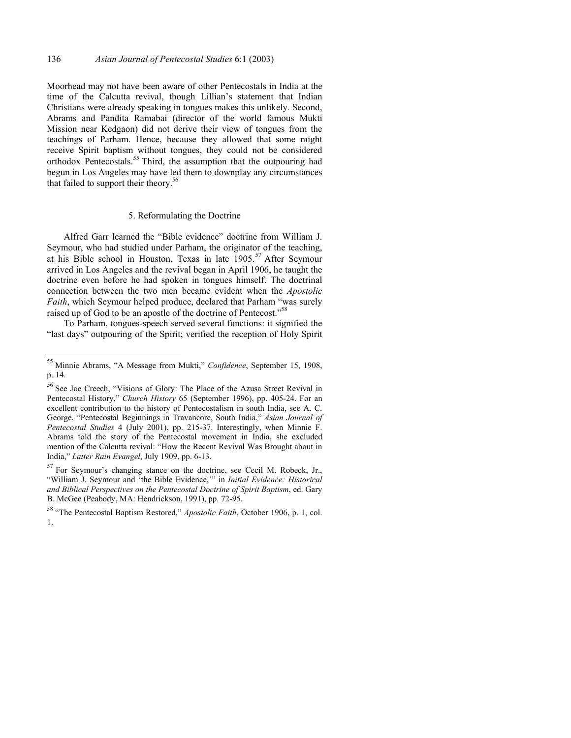Moorhead may not have been aware of other Pentecostals in India at the time of the Calcutta revival, though Lillian's statement that Indian Christians were already speaking in tongues makes this unlikely. Second, Abrams and Pandita Ramabai (director of the world famous Mukti Mission near Kedgaon) did not derive their view of tongues from the teachings of Parham. Hence, because they allowed that some might receive Spirit baptism without tongues, they could not be considered orthodox Pentecostals.<sup>55</sup> Third, the assumption that the outpouring had begun in Los Angeles may have led them to downplay any circumstances that failed to support their theory.<sup>56</sup>

#### 5. Reformulating the Doctrine

Alfred Garr learned the "Bible evidence" doctrine from William J. Seymour, who had studied under Parham, the originator of the teaching, at his Bible school in Houston, Texas in late  $1905$ <sup>57</sup> After Seymour arrived in Los Angeles and the revival began in April 1906, he taught the doctrine even before he had spoken in tongues himself. The doctrinal connection between the two men became evident when the *Apostolic Faith*, which Seymour helped produce, declared that Parham "was surely raised up of God to be an apostle of the doctrine of Pentecost."<sup>58</sup>

To Parham, tongues-speech served several functions: it signified the "last days" outpouring of the Spirit; verified the reception of Holy Spirit

<sup>55</sup> Minnie Abrams, "A Message from Mukti," *Confidence*, September 15, 1908, p. 14.

<sup>56</sup> See Joe Creech, "Visions of Glory: The Place of the Azusa Street Revival in Pentecostal History," *Church History* 65 (September 1996), pp. 405-24. For an excellent contribution to the history of Pentecostalism in south India, see A. C. George, "Pentecostal Beginnings in Travancore, South India," *Asian Journal of Pentecostal Studies* 4 (July 2001), pp. 215-37. Interestingly, when Minnie F. Abrams told the story of the Pentecostal movement in India, she excluded mention of the Calcutta revival: "How the Recent Revival Was Brought about in India," *Latter Rain Evangel*, July 1909, pp. 6-13.

 $57$  For Seymour's changing stance on the doctrine, see Cecil M. Robeck, Jr., "William J. Seymour and 'the Bible Evidence,'" in *Initial Evidence: Historical and Biblical Perspectives on the Pentecostal Doctrine of Spirit Baptism*, ed. Gary B. McGee (Peabody, MA: Hendrickson, 1991), pp. 72-95.

<sup>58 &</sup>quot;The Pentecostal Baptism Restored," *Apostolic Faith*, October 1906, p. 1, col. 1.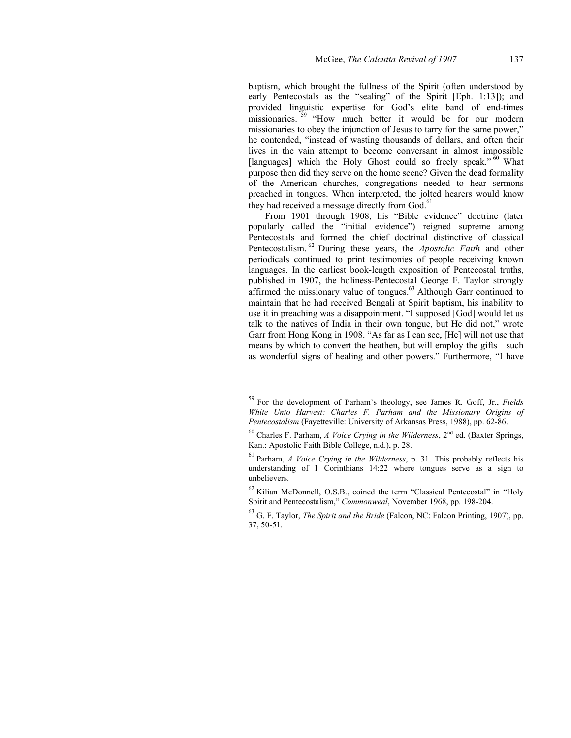baptism, which brought the fullness of the Spirit (often understood by early Pentecostals as the "sealing" of the Spirit [Eph. 1:13]); and provided linguistic expertise for God's elite band of end-times missionaries.<sup>39</sup> "How much better it would be for our modern missionaries to obey the injunction of Jesus to tarry for the same power," he contended, "instead of wasting thousands of dollars, and often their lives in the vain attempt to become conversant in almost impossible [languages] which the Holy Ghost could so freely speak."<sup>60</sup> What purpose then did they serve on the home scene? Given the dead formality of the American churches, congregations needed to hear sermons preached in tongues. When interpreted, the jolted hearers would know they had received a message directly from God.<sup>61</sup>

From 1901 through 1908, his "Bible evidence" doctrine (later popularly called the "initial evidence") reigned supreme among Pentecostals and formed the chief doctrinal distinctive of classical Pentecostalism. 62 During these years, the *Apostolic Faith* and other periodicals continued to print testimonies of people receiving known languages. In the earliest book-length exposition of Pentecostal truths, published in 1907, the holiness-Pentecostal George F. Taylor strongly affirmed the missionary value of tongues.<sup>63</sup> Although Garr continued to maintain that he had received Bengali at Spirit baptism, his inability to use it in preaching was a disappointment. "I supposed [God] would let us talk to the natives of India in their own tongue, but He did not," wrote Garr from Hong Kong in 1908. "As far as I can see, [He] will not use that means by which to convert the heathen, but will employ the gifts—such as wonderful signs of healing and other powers." Furthermore, "I have

<sup>59</sup> For the development of Parham's theology, see James R. Goff, Jr., *Fields White Unto Harvest: Charles F. Parham and the Missionary Origins of Pentecostalism* (Fayetteville: University of Arkansas Press, 1988), pp. 62-86.

 $60$  Charles F. Parham, *A Voice Crying in the Wilderness*,  $2<sup>nd</sup>$  ed. (Baxter Springs, Kan.: Apostolic Faith Bible College, n.d.), p. 28.

<sup>61</sup> Parham, *A Voice Crying in the Wilderness*, p. 31. This probably reflects his understanding of 1 Corinthians 14:22 where tongues serve as a sign to unbelievers.

<sup>62</sup> Kilian McDonnell, O.S.B., coined the term "Classical Pentecostal" in "Holy Spirit and Pentecostalism," *Commonweal*, November 1968, pp. 198-204.

<sup>63</sup> G. F. Taylor, *The Spirit and the Bride* (Falcon, NC: Falcon Printing, 1907), pp. 37, 50-51.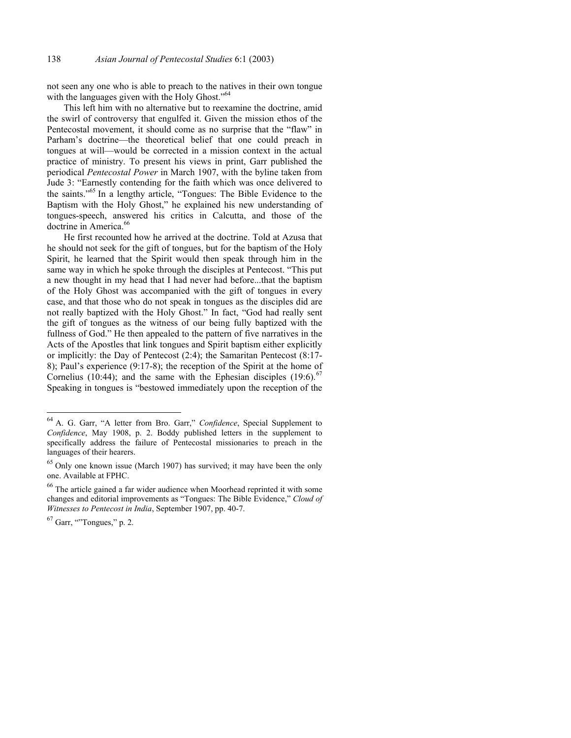not seen any one who is able to preach to the natives in their own tongue with the languages given with the Holy Ghost."<sup>64</sup>

This left him with no alternative but to reexamine the doctrine, amid the swirl of controversy that engulfed it. Given the mission ethos of the Pentecostal movement, it should come as no surprise that the "flaw" in Parham's doctrine—the theoretical belief that one could preach in tongues at will—would be corrected in a mission context in the actual practice of ministry. To present his views in print, Garr published the periodical *Pentecostal Power* in March 1907, with the byline taken from Jude 3: "Earnestly contending for the faith which was once delivered to the saints."65 In a lengthy article, "Tongues: The Bible Evidence to the Baptism with the Holy Ghost," he explained his new understanding of tongues-speech, answered his critics in Calcutta, and those of the doctrine in America.<sup>66</sup>

He first recounted how he arrived at the doctrine. Told at Azusa that he should not seek for the gift of tongues, but for the baptism of the Holy Spirit, he learned that the Spirit would then speak through him in the same way in which he spoke through the disciples at Pentecost. "This put a new thought in my head that I had never had before...that the baptism of the Holy Ghost was accompanied with the gift of tongues in every case, and that those who do not speak in tongues as the disciples did are not really baptized with the Holy Ghost." In fact, "God had really sent the gift of tongues as the witness of our being fully baptized with the fullness of God." He then appealed to the pattern of five narratives in the Acts of the Apostles that link tongues and Spirit baptism either explicitly or implicitly: the Day of Pentecost (2:4); the Samaritan Pentecost (8:17- 8); Paul's experience (9:17-8); the reception of the Spirit at the home of Cornelius (10:44); and the same with the Ephesian disciples  $(19:6)$ .<sup>6</sup> Speaking in tongues is "bestowed immediately upon the reception of the

<sup>64</sup> A. G. Garr, "A letter from Bro. Garr," *Confidence*, Special Supplement to *Confidence*, May 1908, p. 2. Boddy published letters in the supplement to specifically address the failure of Pentecostal missionaries to preach in the languages of their hearers.

<sup>&</sup>lt;sup>65</sup> Only one known issue (March 1907) has survived; it may have been the only one. Available at FPHC.

<sup>66</sup> The article gained a far wider audience when Moorhead reprinted it with some changes and editorial improvements as "Tongues: The Bible Evidence," *Cloud of Witnesses to Pentecost in India*, September 1907, pp. 40-7.

 $67$  Garr, "Tongues," p. 2.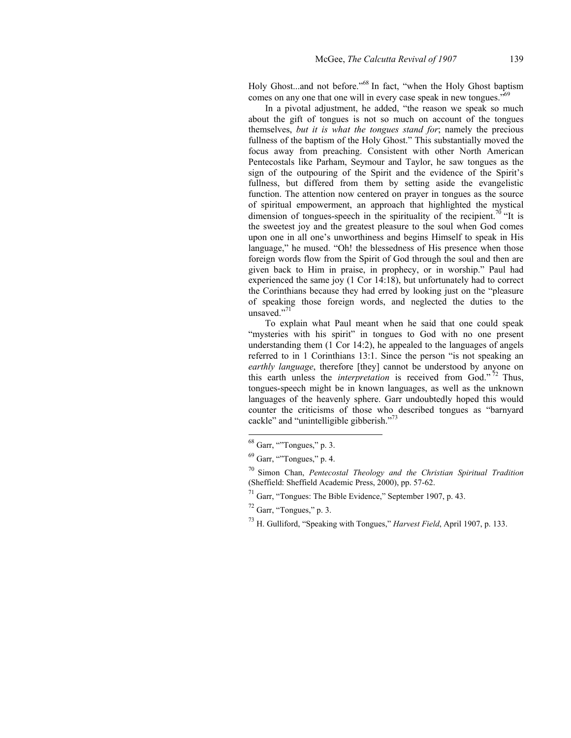Holy Ghost...and not before."<sup>68</sup> In fact, "when the Holy Ghost baptism" comes on any one that one will in every case speak in new tongues.<sup> $\frac{1}{2}$ 69</sup>

In a pivotal adjustment, he added, "the reason we speak so much about the gift of tongues is not so much on account of the tongues themselves, *but it is what the tongues stand for*; namely the precious fullness of the baptism of the Holy Ghost." This substantially moved the focus away from preaching. Consistent with other North American Pentecostals like Parham, Seymour and Taylor, he saw tongues as the sign of the outpouring of the Spirit and the evidence of the Spirit's fullness, but differed from them by setting aside the evangelistic function. The attention now centered on prayer in tongues as the source of spiritual empowerment, an approach that highlighted the mystical dimension of tongues-speech in the spirituality of the recipient.<sup>70</sup> "It is the sweetest joy and the greatest pleasure to the soul when God comes upon one in all one's unworthiness and begins Himself to speak in His language," he mused. "Oh! the blessedness of His presence when those foreign words flow from the Spirit of God through the soul and then are given back to Him in praise, in prophecy, or in worship." Paul had experienced the same joy (1 Cor 14:18), but unfortunately had to correct the Corinthians because they had erred by looking just on the "pleasure of speaking those foreign words, and neglected the duties to the unsaved."7

To explain what Paul meant when he said that one could speak "mysteries with his spirit" in tongues to God with no one present understanding them (1 Cor 14:2), he appealed to the languages of angels referred to in 1 Corinthians 13:1. Since the person "is not speaking an *earthly language*, therefore [they] cannot be understood by anyone on this earth unless the *interpretation* is received from God." 72 Thus, tongues-speech might be in known languages, as well as the unknown languages of the heavenly sphere. Garr undoubtedly hoped this would counter the criticisms of those who described tongues as "barnyard cackle" and "unintelligible gibberish."<sup>73</sup>

 $68$  Garr, "Tongues," p. 3.

 $69$  Garr, "Tongues," p. 4.

<sup>70</sup> Simon Chan, *Pentecostal Theology and the Christian Spiritual Tradition* (Sheffield: Sheffield Academic Press, 2000), pp. 57-62.

 $71$  Garr, "Tongues: The Bible Evidence," September 1907, p. 43.

 $72$  Garr, "Tongues," p. 3.

<sup>73</sup> H. Gulliford, "Speaking with Tongues," *Harvest Field*, April 1907, p. 133.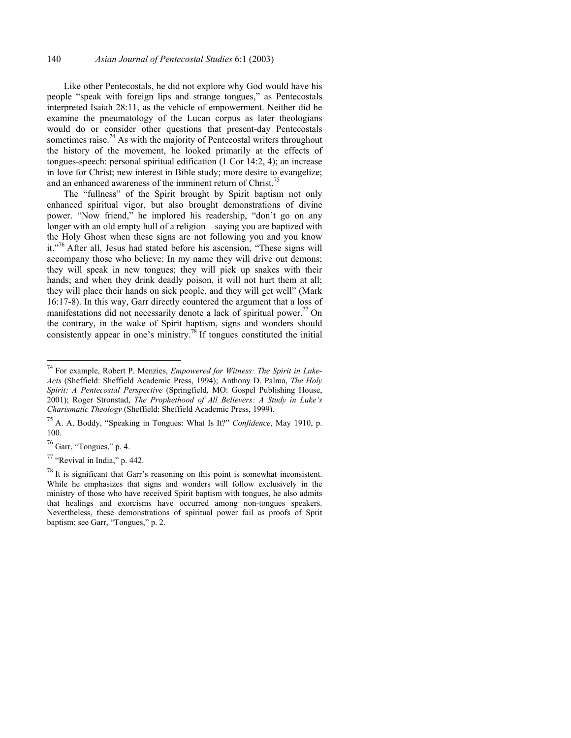Like other Pentecostals, he did not explore why God would have his people "speak with foreign lips and strange tongues," as Pentecostals interpreted Isaiah 28:11, as the vehicle of empowerment. Neither did he examine the pneumatology of the Lucan corpus as later theologians would do or consider other questions that present-day Pentecostals sometimes raise.<sup>74</sup> As with the majority of Pentecostal writers throughout the history of the movement, he looked primarily at the effects of tongues-speech: personal spiritual edification (1 Cor 14:2, 4); an increase in love for Christ; new interest in Bible study; more desire to evangelize; and an enhanced awareness of the imminent return of Christ.<sup>7</sup>

The "fullness" of the Spirit brought by Spirit baptism not only enhanced spiritual vigor, but also brought demonstrations of divine power. "Now friend," he implored his readership, "don't go on any longer with an old empty hull of a religion—saying you are baptized with the Holy Ghost when these signs are not following you and you know it."<sup>76</sup> After all, Jesus had stated before his ascension, "These signs will accompany those who believe: In my name they will drive out demons; they will speak in new tongues; they will pick up snakes with their hands; and when they drink deadly poison, it will not hurt them at all; they will place their hands on sick people, and they will get well" (Mark 16:17-8). In this way, Garr directly countered the argument that a loss of manifestations did not necessarily denote a lack of spiritual power.<sup>77</sup> On the contrary, in the wake of Spirit baptism, signs and wonders should consistently appear in one's ministry.<sup>78</sup> If tongues constituted the initial

<sup>74</sup> For example, Robert P. Menzies, *Empowered for Witness: The Spirit in Luke-Acts* (Sheffield: Sheffield Academic Press, 1994); Anthony D. Palma, *The Holy Spirit: A Pentecostal Perspective* (Springfield, MO: Gospel Publishing House, 2001); Roger Stronstad, *The Prophethood of All Believers: A Study in Luke's Charismatic Theology* (Sheffield: Sheffield Academic Press, 1999).

<sup>75</sup> A. A. Boddy, "Speaking in Tongues: What Is It?" *Confidence*, May 1910, p. 100.

<sup>76</sup> Garr, "Tongues," p. 4.

 $77$  "Revival in India," p. 442.

 $^{78}$  It is significant that Garr's reasoning on this point is somewhat inconsistent. While he emphasizes that signs and wonders will follow exclusively in the ministry of those who have received Spirit baptism with tongues, he also admits that healings and exorcisms have occurred among non-tongues speakers. Nevertheless, these demonstrations of spiritual power fail as proofs of Sprit baptism; see Garr, "Tongues," p. 2.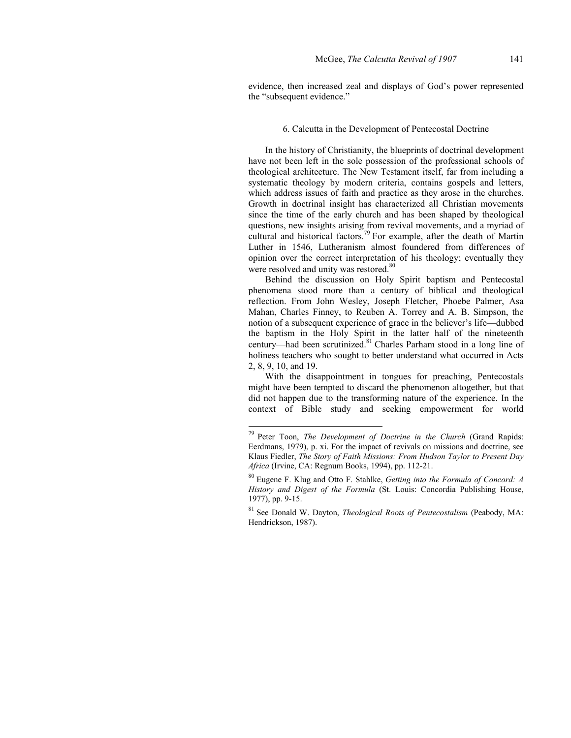evidence, then increased zeal and displays of God's power represented the "subsequent evidence."

### 6. Calcutta in the Development of Pentecostal Doctrine

In the history of Christianity, the blueprints of doctrinal development have not been left in the sole possession of the professional schools of theological architecture. The New Testament itself, far from including a systematic theology by modern criteria, contains gospels and letters, which address issues of faith and practice as they arose in the churches. Growth in doctrinal insight has characterized all Christian movements since the time of the early church and has been shaped by theological questions, new insights arising from revival movements, and a myriad of cultural and historical factors.<sup>79</sup> For example, after the death of Martin Luther in 1546, Lutheranism almost foundered from differences of opinion over the correct interpretation of his theology; eventually they were resolved and unity was restored.<sup>80</sup>

Behind the discussion on Holy Spirit baptism and Pentecostal phenomena stood more than a century of biblical and theological reflection. From John Wesley, Joseph Fletcher, Phoebe Palmer, Asa Mahan, Charles Finney, to Reuben A. Torrey and A. B. Simpson, the notion of a subsequent experience of grace in the believer's life—dubbed the baptism in the Holy Spirit in the latter half of the nineteenth century—had been scrutinized.81 Charles Parham stood in a long line of holiness teachers who sought to better understand what occurred in Acts 2, 8, 9, 10, and 19.

With the disappointment in tongues for preaching, Pentecostals might have been tempted to discard the phenomenon altogether, but that did not happen due to the transforming nature of the experience. In the context of Bible study and seeking empowerment for world

<sup>79</sup> Peter Toon, *The Development of Doctrine in the Church* (Grand Rapids: Eerdmans, 1979), p. xi. For the impact of revivals on missions and doctrine, see Klaus Fiedler, *The Story of Faith Missions: From Hudson Taylor to Present Day Africa* (Irvine, CA: Regnum Books, 1994), pp. 112-21.

<sup>80</sup> Eugene F. Klug and Otto F. Stahlke, *Getting into the Formula of Concord: A History and Digest of the Formula* (St. Louis: Concordia Publishing House, 1977), pp. 9-15.

<sup>81</sup> See Donald W. Dayton, *Theological Roots of Pentecostalism* (Peabody, MA: Hendrickson, 1987).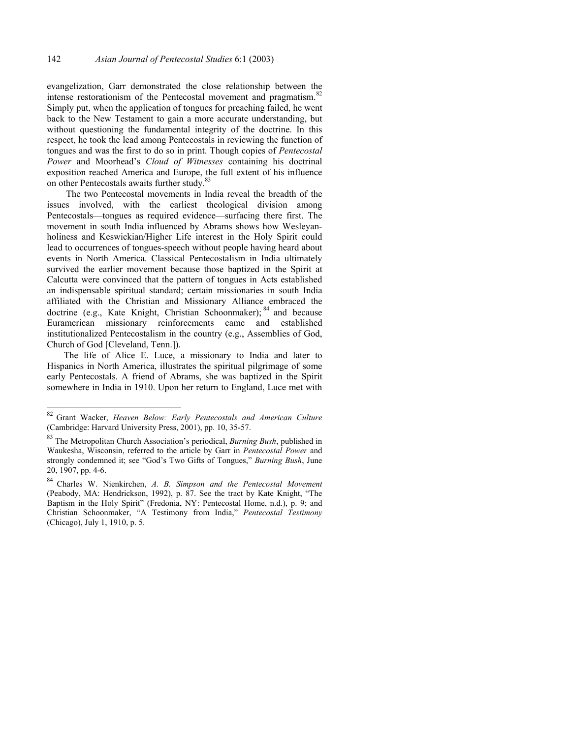evangelization, Garr demonstrated the close relationship between the intense restorationism of the Pentecostal movement and pragmatism.<sup>82</sup> Simply put, when the application of tongues for preaching failed, he went back to the New Testament to gain a more accurate understanding, but without questioning the fundamental integrity of the doctrine. In this respect, he took the lead among Pentecostals in reviewing the function of tongues and was the first to do so in print. Though copies of *Pentecostal Power* and Moorhead's *Cloud of Witnesses* containing his doctrinal exposition reached America and Europe, the full extent of his influence on other Pentecostals awaits further study.<sup>83</sup>

 The two Pentecostal movements in India reveal the breadth of the issues involved, with the earliest theological division among Pentecostals—tongues as required evidence—surfacing there first. The movement in south India influenced by Abrams shows how Wesleyanholiness and Keswickian/Higher Life interest in the Holy Spirit could lead to occurrences of tongues-speech without people having heard about events in North America. Classical Pentecostalism in India ultimately survived the earlier movement because those baptized in the Spirit at Calcutta were convinced that the pattern of tongues in Acts established an indispensable spiritual standard; certain missionaries in south India affiliated with the Christian and Missionary Alliance embraced the doctrine (e.g., Kate Knight, Christian Schoonmaker); <sup>84</sup> and because Euramerican missionary reinforcements came and established institutionalized Pentecostalism in the country (e.g., Assemblies of God, Church of God [Cleveland, Tenn.]).

The life of Alice E. Luce, a missionary to India and later to Hispanics in North America, illustrates the spiritual pilgrimage of some early Pentecostals. A friend of Abrams, she was baptized in the Spirit somewhere in India in 1910. Upon her return to England, Luce met with

<sup>82</sup> 82 Grant Wacker, *Heaven Below: Early Pentecostals and American Culture* (Cambridge: Harvard University Press, 2001), pp. 10, 35-57.

<sup>83</sup> The Metropolitan Church Association's periodical, *Burning Bush*, published in Waukesha, Wisconsin, referred to the article by Garr in *Pentecostal Power* and strongly condemned it; see "God's Two Gifts of Tongues," *Burning Bush*, June 20, 1907, pp. 4-6.

<sup>84</sup> Charles W. Nienkirchen, *A. B. Simpson and the Pentecostal Movement* (Peabody, MA: Hendrickson, 1992), p. 87. See the tract by Kate Knight, "The Baptism in the Holy Spirit" (Fredonia, NY: Pentecostal Home, n.d.), p. 9; and Christian Schoonmaker, "A Testimony from India," *Pentecostal Testimony* (Chicago), July 1, 1910, p. 5.